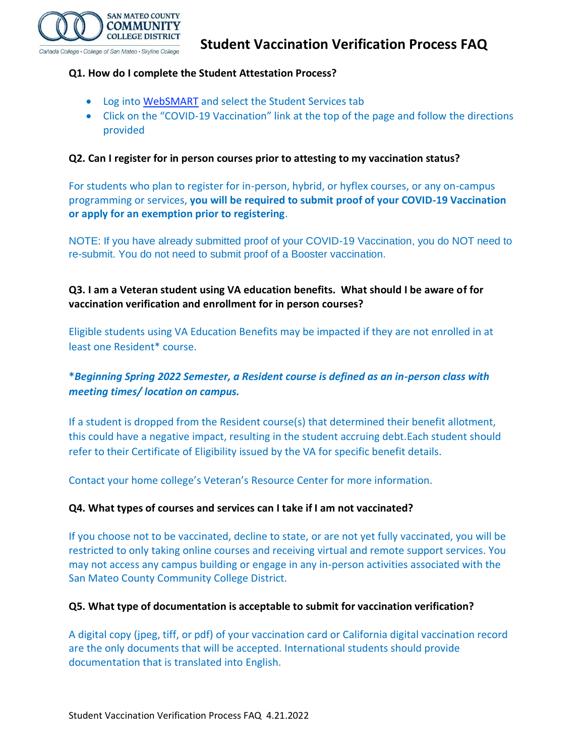

### **Q1. How do I complete the Student Attestation Process?**

- Log into [WebSMART](https://phx-ban-ssb8.smccd.edu/) and select the Student Services tab
- Click on the "COVID-19 Vaccination" link at the top of the page and follow the directions provided

### **Q2. Can I register for in person courses prior to attesting to my vaccination status?**

For students who plan to register for in-person, hybrid, or hyflex courses, or any on-campus programming or services, **you will be required to submit proof of your COVID-19 Vaccination or apply for an exemption prior to registering**.

NOTE: If you have already submitted proof of your COVID-19 Vaccination, you do NOT need to re-submit. You do not need to submit proof of a Booster vaccination.

### **Q3. I am a Veteran student using VA education benefits. What should I be aware of for vaccination verification and enrollment for in person courses?**

Eligible students using VA Education Benefits may be impacted if they are not enrolled in at least one Resident\* course.

# **\****Beginning Spring 2022 Semester, a Resident course is defined as an in-person class with meeting times/ location on campus.*

If a student is dropped from the Resident course(s) that determined their benefit allotment, this could have a negative impact, resulting in the student accruing debt.Each student should refer to their Certificate of Eligibility issued by the VA for specific benefit details.

Contact your home college's Veteran's Resource Center for more information.

#### **Q4. What types of courses and services can I take if I am not vaccinated?**

If you choose not to be vaccinated, decline to state, or are not yet fully vaccinated, you will be restricted to only taking online courses and receiving virtual and remote support services. You may not access any campus building or engage in any in-person activities associated with the San Mateo County Community College District.

#### **Q5. What type of documentation is acceptable to submit for vaccination verification?**

A digital copy (jpeg, tiff, or pdf) of your vaccination card or California digital vaccination record are the only documents that will be accepted. International students should provide documentation that is translated into English.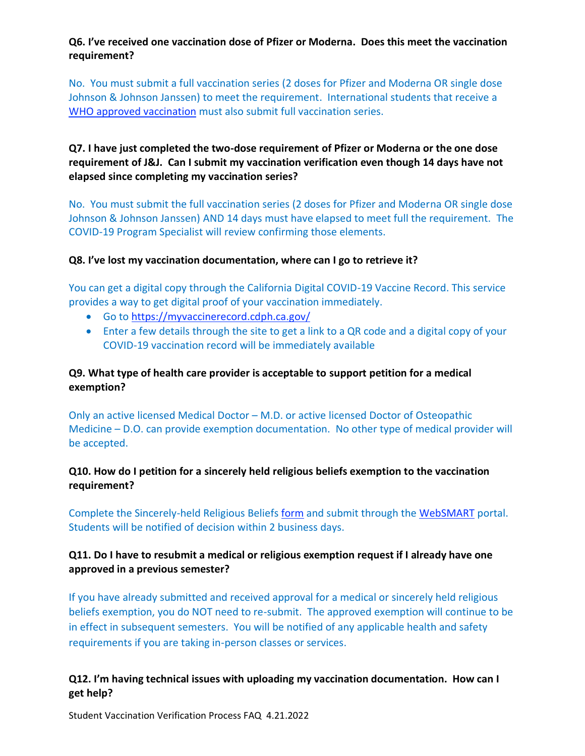### **Q6. I've received one vaccination dose of Pfizer or Moderna. Does this meet the vaccination requirement?**

No. You must submit a full vaccination series (2 doses for Pfizer and Moderna OR single dose Johnson & Johnson Janssen) to meet the requirement. International students that receive a [WHO approved vaccination](https://www.who.int/emergencies/diseases/novel-coronavirus-2019/covid-19-vaccines/advice) must also submit full vaccination series.

## **Q7. I have just completed the two-dose requirement of Pfizer or Moderna or the one dose requirement of J&J. Can I submit my vaccination verification even though 14 days have not elapsed since completing my vaccination series?**

No. You must submit the full vaccination series (2 doses for Pfizer and Moderna OR single dose Johnson & Johnson Janssen) AND 14 days must have elapsed to meet full the requirement. The COVID-19 Program Specialist will review confirming those elements.

#### **Q8. I've lost my vaccination documentation, where can I go to retrieve it?**

You can get a digital copy through the California Digital COVID-19 Vaccine Record. This service provides a way to get digital proof of your vaccination immediately.

- Go to<https://myvaccinerecord.cdph.ca.gov/>
- Enter a few details through the site to get a link to a QR code and a digital copy of your COVID-19 vaccination record will be immediately available

### **Q9. What type of health care provider is acceptable to support petition for a medical exemption?**

Only an active licensed Medical Doctor – M.D. or active licensed Doctor of Osteopathic Medicine – D.O. can provide exemption documentation. No other type of medical provider will be accepted.

### **Q10. How do I petition for a sincerely held religious beliefs exemption to the vaccination requirement?**

Complete the Sincerely-held Religious Beliefs [form](https://smccd.edu/return-to-campus/docs/Student%20Request%20for%20Religious%20Exemption%20Form%2011.12.2021.pdf) and submit through the [WebSMART](https://phx-ban-ssb8.smccd.edu/) portal. Students will be notified of decision within 2 business days.

### **Q11. Do I have to resubmit a medical or religious exemption request if I already have one approved in a previous semester?**

If you have already submitted and received approval for a medical or sincerely held religious beliefs exemption, you do NOT need to re-submit. The approved exemption will continue to be in effect in subsequent semesters. You will be notified of any applicable health and safety requirements if you are taking in-person classes or services.

### **Q12. I'm having technical issues with uploading my vaccination documentation. How can I get help?**

Student Vaccination Verification Process FAQ 4.21.2022